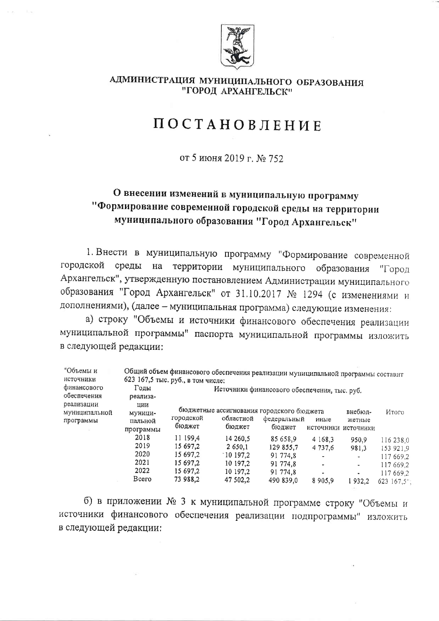

## АДМИНИСТРАЦИЯ МУНИЦИПАЛЬНОГО ОБРАЗОВАНИЯ "ГОРОД АРХАНГЕЛЬСК"

## **ПОСТАНОВЛЕНИЕ**

от 5 июня 2019 г. № 752

## О внесении изменений в муниципальную программу "Формирование современной городской среды на территории муниципального образования "Город Архангельск"

1. Внести в муниципальную программу "Формирование современной городской среды на территории муниципального образования "Город Архангельск", утвержденную постановлением Администрации муниципального образования "Город Архангельск" от 31.10.2017 № 1294 (с изменениями и дополнениями), (далее - муниципальная программа) следующие изменения:

а) строку "Объемы и источники финансового обеспечения реализации муниципальной программы" паспорта муниципальной программы изложить в следующей редакции:

| "Объемы и<br>нсточники                   |                                        | 623 167,5 тыс. руб., в том числе:                        | Общий объем финансового обеспечения реализации муниципальной программы составит |                                                           |                             |                               |                                                               |  |  |  |
|------------------------------------------|----------------------------------------|----------------------------------------------------------|---------------------------------------------------------------------------------|-----------------------------------------------------------|-----------------------------|-------------------------------|---------------------------------------------------------------|--|--|--|
| финансового<br>обеспечения               | Годы<br>реализа-                       | Источники финансового обеспечения, тыс. руб.             |                                                                                 |                                                           |                             |                               |                                                               |  |  |  |
| реализации<br>муниципальной<br>программы | ции<br>муници-<br>пальной<br>программы | городской<br>бюджет                                      | бюджетные ассигнования городского бюджета<br>областной<br>бюджет                | федеральный<br>бюджет                                     | иные<br>источники источники | внебюд-<br>жетные             | Итого                                                         |  |  |  |
|                                          | 2018<br>2019<br>2020<br>2021<br>2022   | 11 199,4<br>15 697.2<br>15 697,2<br>15 697,2<br>15 697,2 | 14 260,5<br>2 650.1<br>$^{\circ}10$ 197.2<br>10 197.2<br>10 197.2               | 85 658.9<br>129 855,7<br>91 774.8<br>91 774.8<br>91 774.8 | 4 1 6 8 , 3<br>4 737.6      | 950.9<br>981,3<br>۰<br>-<br>۰ | 116 238,0<br>153 921,9<br>117 669,2<br>117 669,2<br>117 669,2 |  |  |  |
|                                          | Всего                                  | 73 988,2                                                 | 47 502,2                                                                        | 490 839,0                                                 | 8905,9                      | 1932.2                        | 623 167,5";                                                   |  |  |  |

б) в приложении № 3 к муниципальной программе строку "Объемы и источники финансового обеспечения реализации подпрограммы" изложить в следующей редакции: